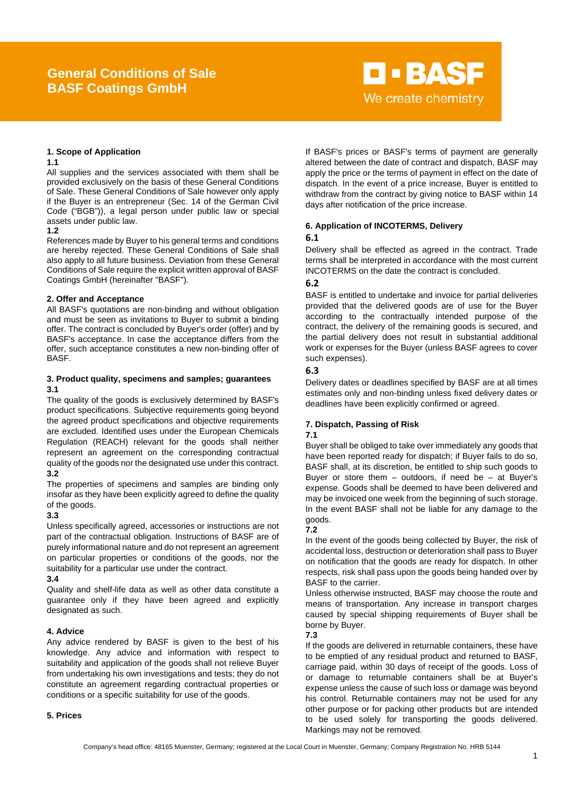# **General Conditions of Sale BASF Coatings GmbH**

# **D-BASF** We create chemistry

# **1. Scope of Application**

## **1.1**

All supplies and the services associated with them shall be provided exclusively on the basis of these General Conditions of Sale. These General Conditions of Sale however only apply if the Buyer is an entrepreneur (Sec. 14 of the German Civil Code ("BGB")), a legal person under public law or special assets under public law.

# **1.2**

References made by Buyer to his general terms and conditions are hereby rejected. These General Conditions of Sale shall also apply to all future business. Deviation from these General Conditions of Sale require the explicit written approval of BASF Coatings GmbH (hereinafter "BASF").

# **2. Offer and Acceptance**

All BASF's quotations are non-binding and without obligation and must be seen as invitations to Buyer to submit a binding offer. The contract is concluded by Buyer's order (offer) and by BASF's acceptance. In case the acceptance differs from the offer, such acceptance constitutes a new non-binding offer of **BASE** 

# **3. Product quality, specimens and samples; guarantees 3.1**

The quality of the goods is exclusively determined by BASF's product specifications. Subjective requirements going beyond the agreed product specifications and objective requirements are excluded. Identified uses under the European Chemicals Regulation (REACH) relevant for the goods shall neither represent an agreement on the corresponding contractual quality of the goods nor the designated use under this contract. **3.2**

The properties of specimens and samples are binding only insofar as they have been explicitly agreed to define the quality of the goods.

# **3.3**

Unless specifically agreed, accessories or instructions are not part of the contractual obligation. Instructions of BASF are of purely informational nature and do not represent an agreement on particular properties or conditions of the goods, nor the suitability for a particular use under the contract.

# **3.4**

Quality and shelf-life data as well as other data constitute a guarantee only if they have been agreed and explicitly designated as such.

# **4. Advice**

Any advice rendered by BASF is given to the best of his knowledge. Any advice and information with respect to suitability and application of the goods shall not relieve Buyer from undertaking his own investigations and tests; they do not constitute an agreement regarding contractual properties or conditions or a specific suitability for use of the goods.

# **5. Prices**

If BASF's prices or BASF's terms of payment are generally altered between the date of contract and dispatch, BASF may apply the price or the terms of payment in effect on the date of dispatch. In the event of a price increase, Buyer is entitled to withdraw from the contract by giving notice to BASF within 14 days after notification of the price increase.

# **6. Application of INCOTERMS, Delivery**

# **6.1**

Delivery shall be effected as agreed in the contract. Trade terms shall be interpreted in accordance with the most current INCOTERMS on the date the contract is concluded.

# **6.2**

BASF is entitled to undertake and invoice for partial deliveries provided that the delivered goods are of use for the Buyer according to the contractually intended purpose of the contract, the delivery of the remaining goods is secured, and the partial delivery does not result in substantial additional work or expenses for the Buyer (unless BASF agrees to cover such expenses).

# **6.3**

Delivery dates or deadlines specified by BASF are at all times estimates only and non-binding unless fixed delivery dates or deadlines have been explicitly confirmed or agreed.

# **7. Dispatch, Passing of Risk**

# **7.1**

Buyer shall be obliged to take over immediately any goods that have been reported ready for dispatch; if Buyer fails to do so, BASF shall, at its discretion, be entitled to ship such goods to Buyer or store them  $-$  outdoors, if need be  $-$  at Buyer's expense. Goods shall be deemed to have been delivered and may be invoiced one week from the beginning of such storage. In the event BASF shall not be liable for any damage to the goods.

# **7.2**

In the event of the goods being collected by Buyer, the risk of accidental loss, destruction or deterioration shall pass to Buyer on notification that the goods are ready for dispatch. In other respects, risk shall pass upon the goods being handed over by BASF to the carrier.

Unless otherwise instructed, BASF may choose the route and means of transportation. Any increase in transport charges caused by special shipping requirements of Buyer shall be borne by Buyer.

# **7.3**

If the goods are delivered in returnable containers, these have to be emptied of any residual product and returned to BASF, carriage paid, within 30 days of receipt of the goods. Loss of or damage to returnable containers shall be at Buyer's expense unless the cause of such loss or damage was beyond his control. Returnable containers may not be used for any other purpose or for packing other products but are intended to be used solely for transporting the goods delivered. Markings may not be removed.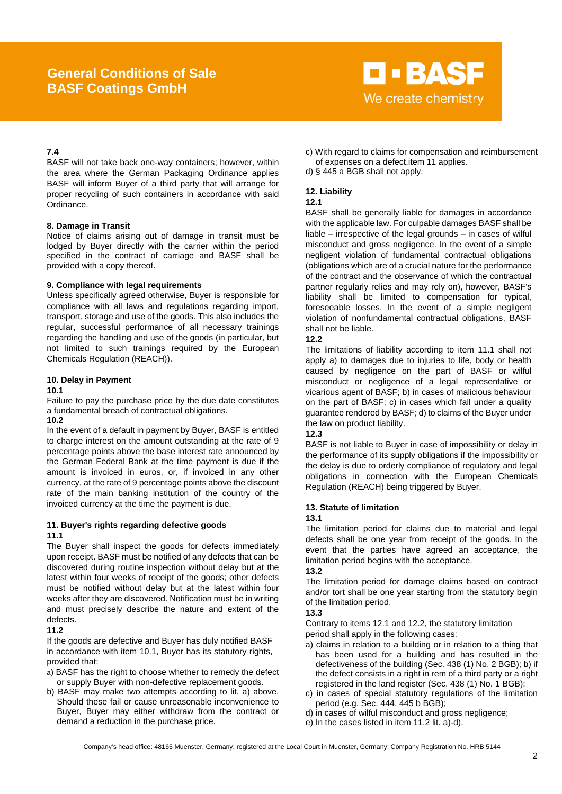# **General Conditions of Sale BASF Coatings GmbH**



# **7.4**

BASF will not take back one-way containers; however, within the area where the German Packaging Ordinance applies BASF will inform Buyer of a third party that will arrange for proper recycling of such containers in accordance with said Ordinance.

## **8. Damage in Transit**

Notice of claims arising out of damage in transit must be lodged by Buyer directly with the carrier within the period specified in the contract of carriage and BASF shall be provided with a copy thereof.

## **9. Compliance with legal requirements**

Unless specifically agreed otherwise, Buyer is responsible for compliance with all laws and regulations regarding import, transport, storage and use of the goods. This also includes the regular, successful performance of all necessary trainings regarding the handling and use of the goods (in particular, but not limited to such trainings required by the European Chemicals Regulation (REACH)).

## **10. Delay in Payment**

## **10.1**

Failure to pay the purchase price by the due date constitutes a fundamental breach of contractual obligations.

## **10.2**

In the event of a default in payment by Buyer, BASF is entitled to charge interest on the amount outstanding at the rate of 9 percentage points above the base interest rate announced by the German Federal Bank at the time payment is due if the amount is invoiced in euros, or, if invoiced in any other currency, at the rate of 9 percentage points above the discount rate of the main banking institution of the country of the invoiced currency at the time the payment is due.

## **11. Buyer's rights regarding defective goods 11.1**

The Buyer shall inspect the goods for defects immediately upon receipt. BASF must be notified of any defects that can be discovered during routine inspection without delay but at the latest within four weeks of receipt of the goods; other defects must be notified without delay but at the latest within four weeks after they are discovered. Notification must be in writing and must precisely describe the nature and extent of the defects.

# **11.2**

If the goods are defective and Buyer has duly notified BASF in accordance with item 10.1, Buyer has its statutory rights, provided that:

- a) BASF has the right to choose whether to remedy the defect or supply Buyer with non-defective replacement goods.
- b) BASF may make two attempts according to lit. a) above. Should these fail or cause unreasonable inconvenience to Buyer, Buyer may either withdraw from the contract or demand a reduction in the purchase price.
- c) With regard to claims for compensation and reimbursement of expenses on a defect,item 11 applies.
- d) § 445 a BGB shall not apply.

# **12. Liability**

# **12.1**

BASF shall be generally liable for damages in accordance with the applicable law. For culpable damages BASF shall be liable – irrespective of the legal grounds – in cases of wilful misconduct and gross negligence. In the event of a simple negligent violation of fundamental contractual obligations (obligations which are of a crucial nature for the performance of the contract and the observance of which the contractual partner regularly relies and may rely on), however, BASF's liability shall be limited to compensation for typical, foreseeable losses. In the event of a simple negligent violation of nonfundamental contractual obligations, BASF shall not be liable.

# **12.2**

The limitations of liability according to item 11.1 shall not apply a) to damages due to injuries to life, body or health caused by negligence on the part of BASF or wilful misconduct or negligence of a legal representative or vicarious agent of BASF; b) in cases of malicious behaviour on the part of BASF; c) in cases which fall under a quality guarantee rendered by BASF; d) to claims of the Buyer under the law on product liability.

# **12.3**

BASF is not liable to Buyer in case of impossibility or delay in the performance of its supply obligations if the impossibility or the delay is due to orderly compliance of regulatory and legal obligations in connection with the European Chemicals Regulation (REACH) being triggered by Buyer.

## **13. Statute of limitation**

## **13.1**

The limitation period for claims due to material and legal defects shall be one year from receipt of the goods. In the event that the parties have agreed an acceptance, the limitation period begins with the acceptance.

# **13.2**

The limitation period for damage claims based on contract and/or tort shall be one year starting from the statutory begin of the limitation period.

# **13.3**

Contrary to items 12.1 and 12.2, the statutory limitation period shall apply in the following cases:

- a) claims in relation to a building or in relation to a thing that has been used for a building and has resulted in the defectiveness of the building (Sec. 438 (1) No. 2 BGB); b) if the defect consists in a right in rem of a third party or a right registered in the land register (Sec. 438 (1) No. 1 BGB);
- c) in cases of special statutory regulations of the limitation period (e.g. Sec. 444, 445 b BGB);
- d) in cases of wilful misconduct and gross negligence;
- e) In the cases listed in item 11.2 lit. a)-d).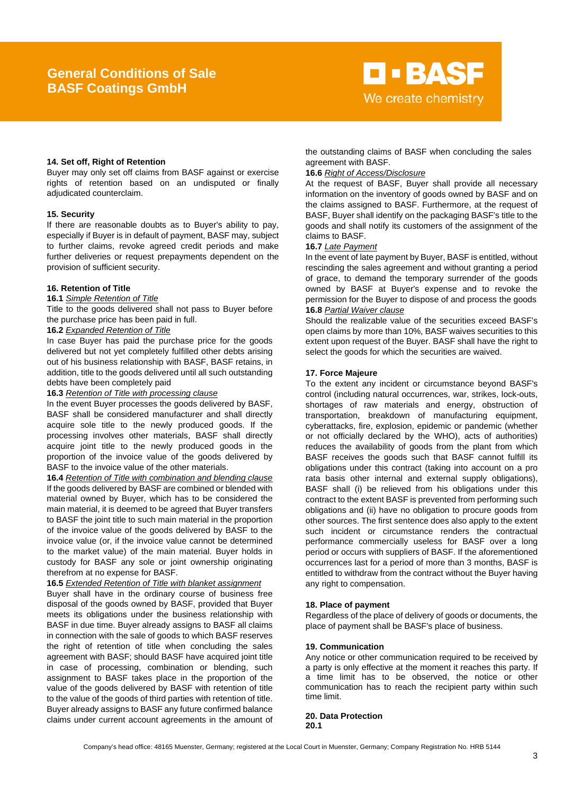

# **14. Set off, Right of Retention**

Buyer may only set off claims from BASF against or exercise rights of retention based on an undisputed or finally adjudicated counterclaim.

#### **15. Security**

If there are reasonable doubts as to Buyer's ability to pay, especially if Buyer is in default of payment, BASF may, subject to further claims, revoke agreed credit periods and make further deliveries or request prepayments dependent on the provision of sufficient security.

#### **16. Retention of Title**

#### **16.1** *Simple Retention of Title*

Title to the goods delivered shall not pass to Buyer before the purchase price has been paid in full.

# **16.2** *Expanded Retention of Title*

In case Buyer has paid the purchase price for the goods delivered but not yet completely fulfilled other debts arising out of his business relationship with BASF, BASF retains, in addition, title to the goods delivered until all such outstanding debts have been completely paid

#### **16.3** *Retention of Title with processing clause*

In the event Buyer processes the goods delivered by BASF, BASF shall be considered manufacturer and shall directly acquire sole title to the newly produced goods. If the processing involves other materials, BASF shall directly acquire joint title to the newly produced goods in the proportion of the invoice value of the goods delivered by BASF to the invoice value of the other materials.

**16.4** *Retention of Title with combination and blending clause* If the goods delivered by BASF are combined or blended with material owned by Buyer, which has to be considered the main material, it is deemed to be agreed that Buyer transfers to BASF the joint title to such main material in the proportion of the invoice value of the goods delivered by BASF to the invoice value (or, if the invoice value cannot be determined to the market value) of the main material. Buyer holds in custody for BASF any sole or joint ownership originating therefrom at no expense for BASF.

# **16.5** *Extended Retention of Title with blanket assignment*

Buyer shall have in the ordinary course of business free disposal of the goods owned by BASF, provided that Buyer meets its obligations under the business relationship with BASF in due time. Buyer already assigns to BASF all claims in connection with the sale of goods to which BASF reserves the right of retention of title when concluding the sales agreement with BASF; should BASF have acquired joint title in case of processing, combination or blending, such assignment to BASF takes place in the proportion of the value of the goods delivered by BASF with retention of title to the value of the goods of third parties with retention of title. Buyer already assigns to BASF any future confirmed balance claims under current account agreements in the amount of

the outstanding claims of BASF when concluding the sales agreement with BASF.

#### **16.6** *Right of Access/Disclosure*

At the request of BASF, Buyer shall provide all necessary information on the inventory of goods owned by BASF and on the claims assigned to BASF. Furthermore, at the request of BASF, Buyer shall identify on the packaging BASF's title to the goods and shall notify its customers of the assignment of the claims to BASF.

# **16.7** *Late Payment*

In the event of late payment by Buyer, BASF is entitled, without rescinding the sales agreement and without granting a period of grace, to demand the temporary surrender of the goods owned by BASF at Buyer's expense and to revoke the permission for the Buyer to dispose of and process the goods **16.8** *Partial Waiver clause*

Should the realizable value of the securities exceed BASF's open claims by more than 10%, BASF waives securities to this extent upon request of the Buyer. BASF shall have the right to select the goods for which the securities are waived.

#### **17. Force Majeure**

To the extent any incident or circumstance beyond BASF's control (including natural occurrences, war, strikes, lock-outs, shortages of raw materials and energy, obstruction of transportation, breakdown of manufacturing equipment, cyberattacks, fire, explosion, epidemic or pandemic (whether or not officially declared by the WHO), acts of authorities) reduces the availability of goods from the plant from which BASF receives the goods such that BASF cannot fulfill its obligations under this contract (taking into account on a pro rata basis other internal and external supply obligations), BASF shall (i) be relieved from his obligations under this contract to the extent BASF is prevented from performing such obligations and (ii) have no obligation to procure goods from other sources. The first sentence does also apply to the extent such incident or circumstance renders the contractual performance commercially useless for BASF over a long period or occurs with suppliers of BASF. If the aforementioned occurrences last for a period of more than 3 months, BASF is entitled to withdraw from the contract without the Buyer having any right to compensation.

#### **18. Place of payment**

Regardless of the place of delivery of goods or documents, the place of payment shall be BASF's place of business.

#### **19. Communication**

Any notice or other communication required to be received by a party is only effective at the moment it reaches this party. If a time limit has to be observed, the notice or other communication has to reach the recipient party within such time limit.

**20. Data Protection 20.1**